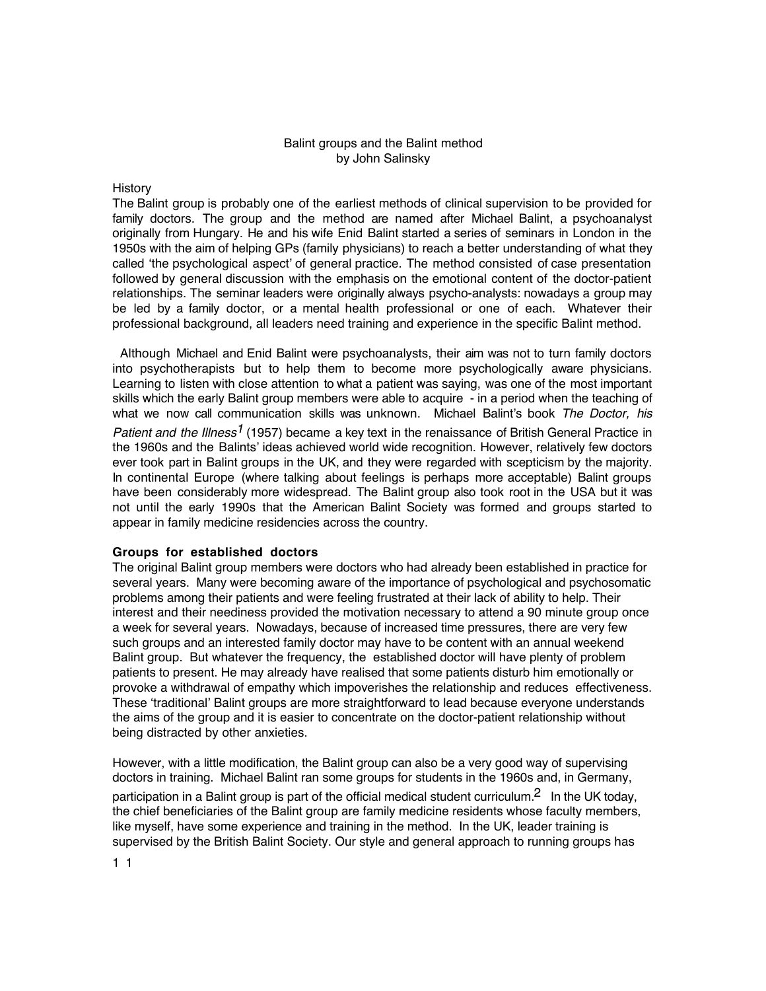### Balint groups and the Balint method by John Salinsky

#### **History**

The Balint group is probably one of the earliest methods of clinical supervision to be provided for family doctors. The group and the method are named after Michael Balint, a psychoanalyst originally from Hungary. He and his wife Enid Balint started a series of seminars in London in the 1950s with the aim of helping GPs (family physicians) to reach a better understanding of what they called 'the psychological aspect' of general practice. The method consisted of case presentation followed by general discussion with the emphasis on the emotional content of the doctor-patient relationships. The seminar leaders were originally always psycho-analysts: nowadays a group may be led by a family doctor, or a mental health professional or one of each. Whatever their professional background, all leaders need training and experience in the specific Balint method.

Although Michael and Enid Balint were psychoanalysts, their aim was not to turn family doctors into psychotherapists but to help them to become more psychologically aware physicians. Learning to listen with close attention to what a patient was saying, was one of the most important skills which the early Balint group members were able to acquire - in a period when the teaching of what we now call communication skills was unknown. Michael Balint's book The Doctor, his Patient and the Illness<sup>1</sup> (1957) became a key text in the renaissance of British General Practice in the 1960s and the Balints' ideas achieved world wide recognition. However, relatively few doctors ever took part in Balint groups in the UK, and they were regarded with scepticism by the majority. In continental Europe (where talking about feelings is perhaps more acceptable) Balint groups have been considerably more widespread. The Balint group also took root in the USA but it was not until the early 1990s that the American Balint Society was formed and groups started to appear in family medicine residencies across the country.

### **Groups for established doctors**

The original Balint group members were doctors who had already been established in practice for several years. Many were becoming aware of the importance of psychological and psychosomatic problems among their patients and were feeling frustrated at their lack of ability to help. Their interest and their neediness provided the motivation necessary to attend a 90 minute group once a week for several years. Nowadays, because of increased time pressures, there are very few such groups and an interested family doctor may have to be content with an annual weekend Balint group. But whatever the frequency, the established doctor will have plenty of problem patients to present. He may already have realised that some patients disturb him emotionally or provoke a withdrawal of empathy which impoverishes the relationship and reduces effectiveness. These 'traditional' Balint groups are more straightforward to lead because everyone understands the aims of the group and it is easier to concentrate on the doctor-patient relationship without being distracted by other anxieties.

However, with a little modification, the Balint group can also be a very good way of supervising doctors in training. Michael Balint ran some groups for students in the 1960s and, in Germany, participation in a Balint group is part of the official medical student curriculum.<sup>2</sup> In the UK today. the chief beneficiaries of the Balint group are family medicine residents whose faculty members, like myself, have some experience and training in the method. In the UK, leader training is supervised by the British Balint Society. Our style and general approach to running groups has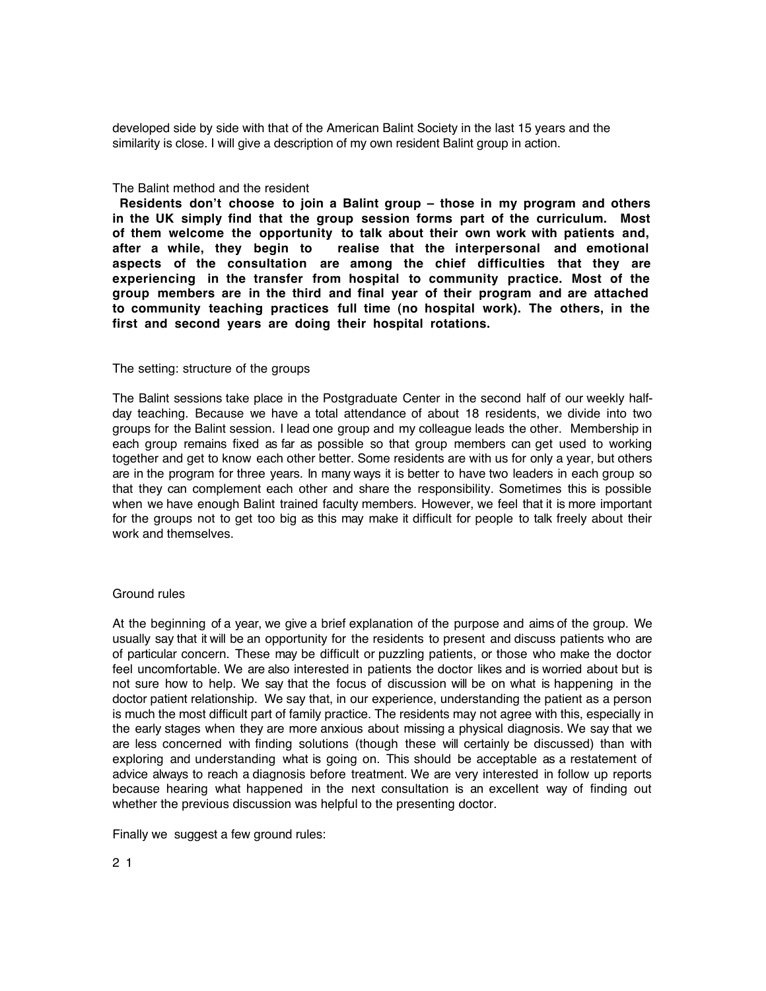developed side by side with that of the American Balint Society in the last 15 years and the similarity is close. I will give a description of my own resident Balint group in action.

### The Balint method and the resident

**Residents don't choose to join a Balint group – those in my program and others in the UK simply find that the group session forms part of the curriculum. Most of them welcome the opportunity to talk about their own work with patients and, after a while, they begin to realise that the interpersonal and emotional aspects of the consultation are among the chief difficulties that they are experiencing in the transfer from hospital to community practice. Most of the group members are in the third and final year of their program and are attached to community teaching practices full time (no hospital work). The others, in the first and second years are doing their hospital rotations.**

### The setting: structure of the groups

The Balint sessions take place in the Postgraduate Center in the second half of our weekly halfday teaching. Because we have a total attendance of about 18 residents, we divide into two groups for the Balint session. I lead one group and my colleague leads the other. Membership in each group remains fixed as far as possible so that group members can get used to working together and get to know each other better. Some residents are with us for only a year, but others are in the program for three years. In many ways it is better to have two leaders in each group so that they can complement each other and share the responsibility. Sometimes this is possible when we have enough Balint trained faculty members. However, we feel that it is more important for the groups not to get too big as this may make it difficult for people to talk freely about their work and themselves

### Ground rules

At the beginning of a year, we give a brief explanation of the purpose and aims of the group. We usually say that it will be an opportunity for the residents to present and discuss patients who are of particular concern. These may be difficult or puzzling patients, or those who make the doctor feel uncomfortable. We are also interested in patients the doctor likes and is worried about but is not sure how to help. We say that the focus of discussion will be on what is happening in the doctor patient relationship. We say that, in our experience, understanding the patient as a person is much the most difficult part of family practice. The residents may not agree with this, especially in the early stages when they are more anxious about missing a physical diagnosis. We say that we are less concerned with finding solutions (though these will certainly be discussed) than with exploring and understanding what is going on. This should be acceptable as a restatement of advice always to reach a diagnosis before treatment. We are very interested in follow up reports because hearing what happened in the next consultation is an excellent way of finding out whether the previous discussion was helpful to the presenting doctor.

Finally we suggest a few ground rules: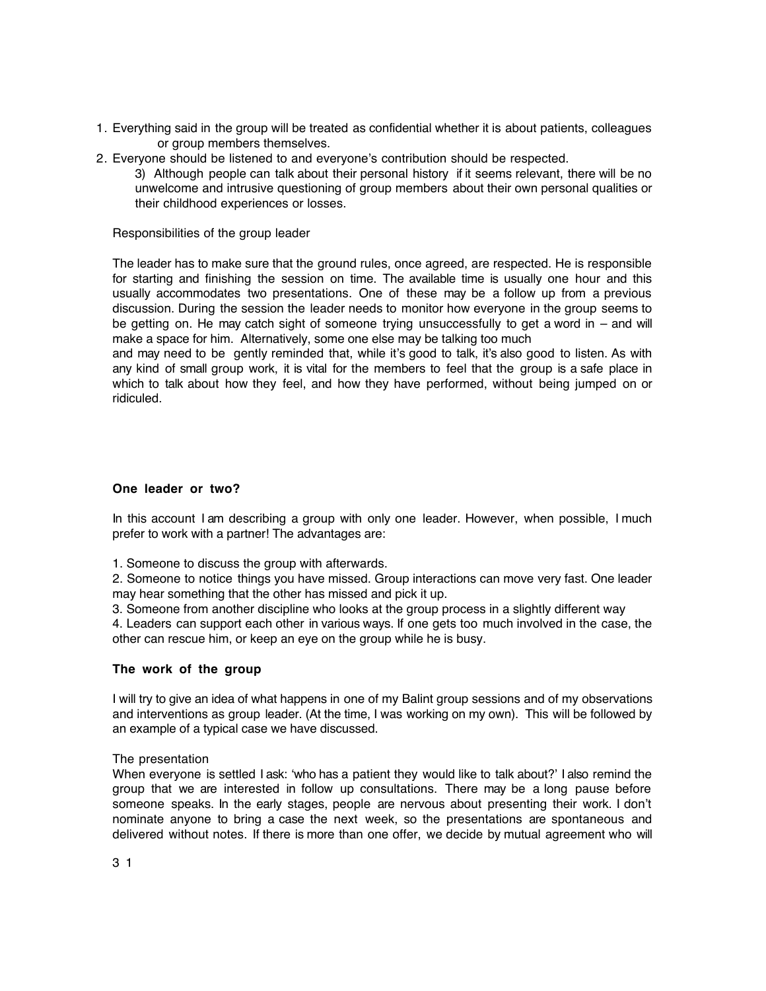- 1. Everything said in the group will be treated as confidential whether it is about patients, colleagues or group members themselves.
- 2. Everyone should be listened to and everyone's contribution should be respected.

3) Although people can talk about their personal history if it seems relevant, there will be no unwelcome and intrusive questioning of group members about their own personal qualities or their childhood experiences or losses.

Responsibilities of the group leader

The leader has to make sure that the ground rules, once agreed, are respected. He is responsible for starting and finishing the session on time. The available time is usually one hour and this usually accommodates two presentations. One of these may be a follow up from a previous discussion. During the session the leader needs to monitor how everyone in the group seems to be getting on. He may catch sight of someone trying unsuccessfully to get a word in – and will make a space for him. Alternatively, some one else may be talking too much

and may need to be gently reminded that, while it's good to talk, it's also good to listen. As with any kind of small group work, it is vital for the members to feel that the group is a safe place in which to talk about how they feel, and how they have performed, without being jumped on or ridiculed.

# **One leader or two?**

In this account I am describing a group with only one leader. However, when possible, I much prefer to work with a partner! The advantages are:

1. Someone to discuss the group with afterwards.

2. Someone to notice things you have missed. Group interactions can move very fast. One leader may hear something that the other has missed and pick it up.

3. Someone from another discipline who looks at the group process in a slightly different way

4. Leaders can support each other in various ways. If one gets too much involved in the case, the other can rescue him, or keep an eye on the group while he is busy.

# **The work of the group**

I will try to give an idea of what happens in one of my Balint group sessions and of my observations and interventions as group leader. (At the time, I was working on my own). This will be followed by an example of a typical case we have discussed.

### The presentation

When everyone is settled I ask: 'who has a patient they would like to talk about?' I also remind the group that we are interested in follow up consultations. There may be a long pause before someone speaks. In the early stages, people are nervous about presenting their work. I don't nominate anyone to bring a case the next week, so the presentations are spontaneous and delivered without notes. If there is more than one offer, we decide by mutual agreement who will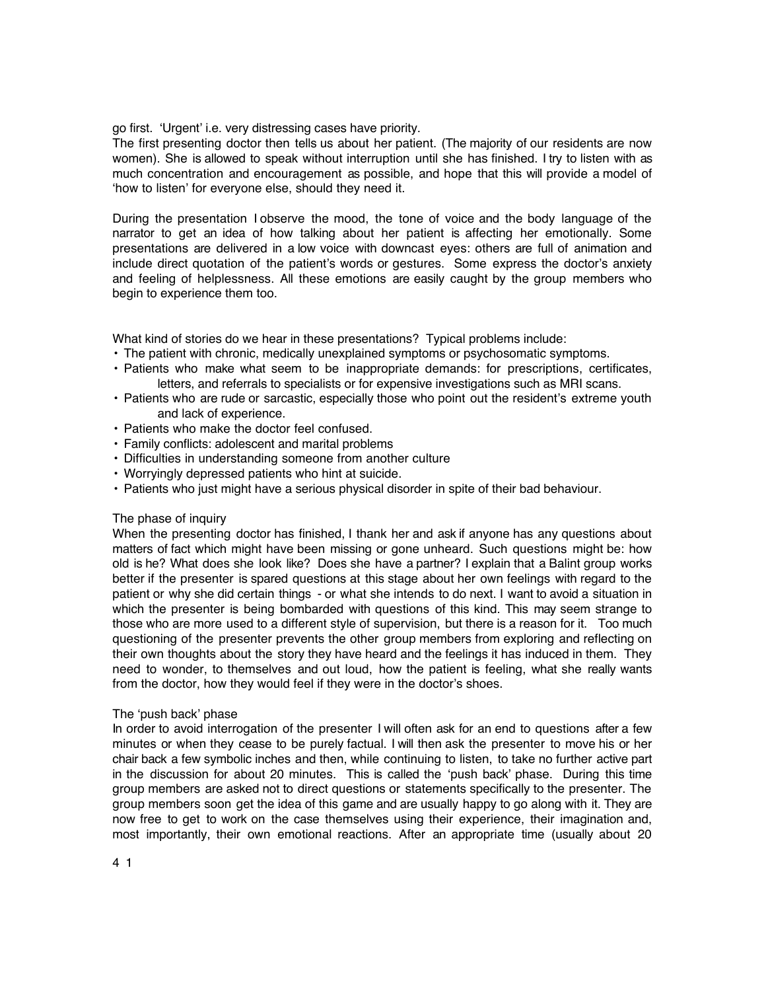go first. 'Urgent' i.e. very distressing cases have priority.

The first presenting doctor then tells us about her patient. (The majority of our residents are now women). She is allowed to speak without interruption until she has finished. I try to listen with as much concentration and encouragement as possible, and hope that this will provide a model of 'how to listen' for everyone else, should they need it.

During the presentation I observe the mood, the tone of voice and the body language of the narrator to get an idea of how talking about her patient is affecting her emotionally. Some presentations are delivered in a low voice with downcast eyes: others are full of animation and include direct quotation of the patient's words or gestures. Some express the doctor's anxiety and feeling of helplessness. All these emotions are easily caught by the group members who begin to experience them too.

What kind of stories do we hear in these presentations? Typical problems include:

- The patient with chronic, medically unexplained symptoms or psychosomatic symptoms.
- Patients who make what seem to be inappropriate demands: for prescriptions, certificates, letters, and referrals to specialists or for expensive investigations such as MRI scans.
- Patients who are rude or sarcastic, especially those who point out the resident's extreme youth and lack of experience.
- Patients who make the doctor feel confused.
- Family conflicts: adolescent and marital problems
- Difficulties in understanding someone from another culture
- Worryingly depressed patients who hint at suicide.
- Patients who just might have a serious physical disorder in spite of their bad behaviour.

### The phase of inquiry

When the presenting doctor has finished, I thank her and ask if anyone has any questions about matters of fact which might have been missing or gone unheard. Such questions might be: how old is he? What does she look like? Does she have a partner? I explain that a Balint group works better if the presenter is spared questions at this stage about her own feelings with regard to the patient or why she did certain things - or what she intends to do next. I want to avoid a situation in which the presenter is being bombarded with questions of this kind. This may seem strange to those who are more used to a different style of supervision, but there is a reason for it. Too much questioning of the presenter prevents the other group members from exploring and reflecting on their own thoughts about the story they have heard and the feelings it has induced in them. They need to wonder, to themselves and out loud, how the patient is feeling, what she really wants from the doctor, how they would feel if they were in the doctor's shoes.

### The 'push back' phase

In order to avoid interrogation of the presenter I will often ask for an end to questions after a few minutes or when they cease to be purely factual. I will then ask the presenter to move his or her chair back a few symbolic inches and then, while continuing to listen, to take no further active part in the discussion for about 20 minutes. This is called the 'push back' phase. During this time group members are asked not to direct questions or statements specifically to the presenter. The group members soon get the idea of this game and are usually happy to go along with it. They are now free to get to work on the case themselves using their experience, their imagination and, most importantly, their own emotional reactions. After an appropriate time (usually about 20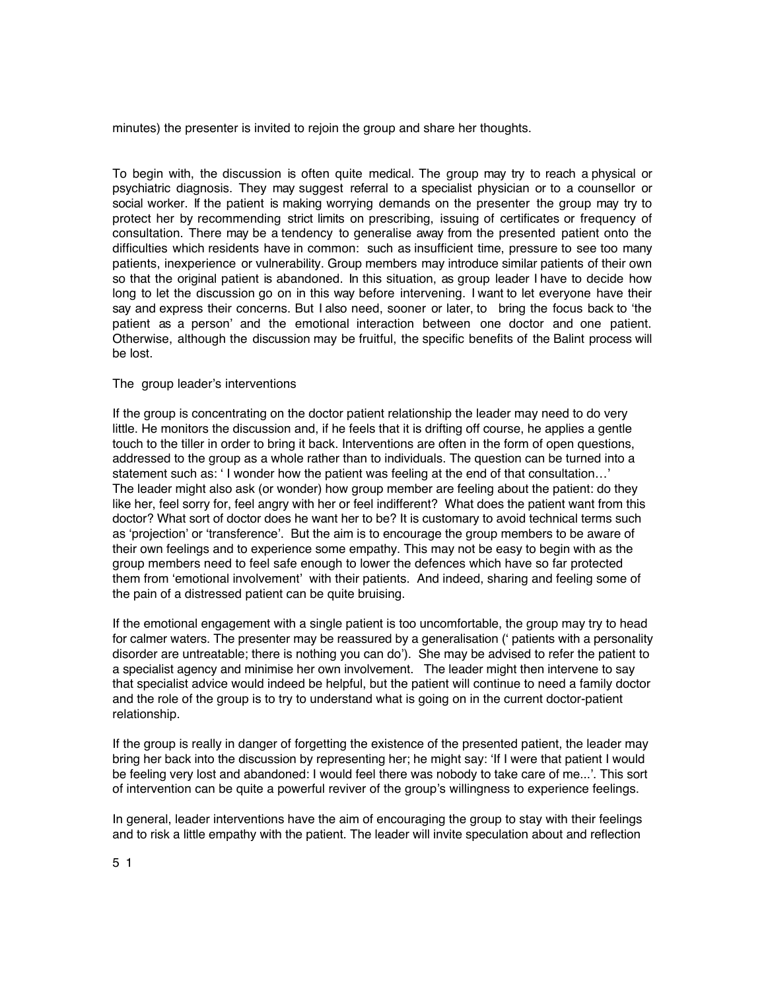minutes) the presenter is invited to rejoin the group and share her thoughts.

To begin with, the discussion is often quite medical. The group may try to reach a physical or psychiatric diagnosis. They may suggest referral to a specialist physician or to a counsellor or social worker. If the patient is making worrying demands on the presenter the group may try to protect her by recommending strict limits on prescribing, issuing of certificates or frequency of consultation. There may be a tendency to generalise away from the presented patient onto the difficulties which residents have in common: such as insufficient time, pressure to see too many patients, inexperience or vulnerability. Group members may introduce similar patients of their own so that the original patient is abandoned. In this situation, as group leader I have to decide how long to let the discussion go on in this way before intervening. I want to let everyone have their say and express their concerns. But I also need, sooner or later, to bring the focus back to 'the patient as a person' and the emotional interaction between one doctor and one patient. Otherwise, although the discussion may be fruitful, the specific benefits of the Balint process will be lost.

### The group leader's interventions

If the group is concentrating on the doctor patient relationship the leader may need to do very little. He monitors the discussion and, if he feels that it is drifting off course, he applies a gentle touch to the tiller in order to bring it back. Interventions are often in the form of open questions, addressed to the group as a whole rather than to individuals. The question can be turned into a statement such as: ' I wonder how the patient was feeling at the end of that consultation…' The leader might also ask (or wonder) how group member are feeling about the patient: do they like her, feel sorry for, feel angry with her or feel indifferent? What does the patient want from this doctor? What sort of doctor does he want her to be? It is customary to avoid technical terms such as 'projection' or 'transference'. But the aim is to encourage the group members to be aware of their own feelings and to experience some empathy. This may not be easy to begin with as the group members need to feel safe enough to lower the defences which have so far protected them from 'emotional involvement' with their patients. And indeed, sharing and feeling some of the pain of a distressed patient can be quite bruising.

If the emotional engagement with a single patient is too uncomfortable, the group may try to head for calmer waters. The presenter may be reassured by a generalisation (' patients with a personality disorder are untreatable; there is nothing you can do'). She may be advised to refer the patient to a specialist agency and minimise her own involvement. The leader might then intervene to say that specialist advice would indeed be helpful, but the patient will continue to need a family doctor and the role of the group is to try to understand what is going on in the current doctor-patient relationship.

If the group is really in danger of forgetting the existence of the presented patient, the leader may bring her back into the discussion by representing her; he might say: 'If I were that patient I would be feeling very lost and abandoned: I would feel there was nobody to take care of me...'. This sort of intervention can be quite a powerful reviver of the group's willingness to experience feelings.

In general, leader interventions have the aim of encouraging the group to stay with their feelings and to risk a little empathy with the patient. The leader will invite speculation about and reflection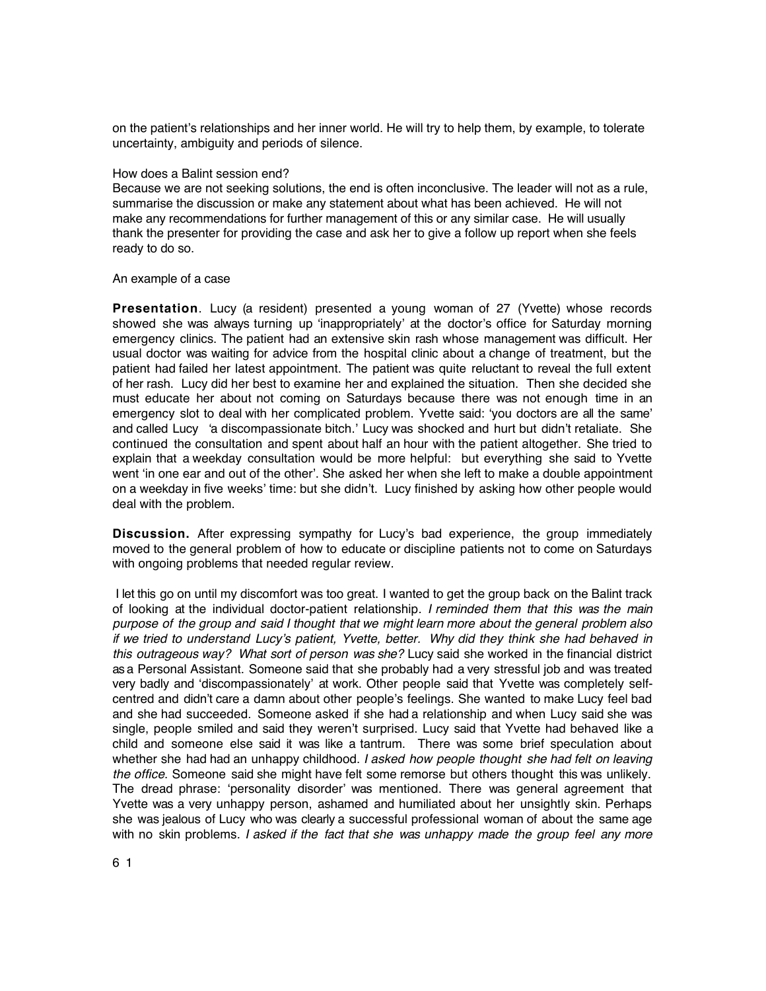on the patient's relationships and her inner world. He will try to help them, by example, to tolerate uncertainty, ambiguity and periods of silence.

#### How does a Balint session end?

Because we are not seeking solutions, the end is often inconclusive. The leader will not as a rule, summarise the discussion or make any statement about what has been achieved. He will not make any recommendations for further management of this or any similar case. He will usually thank the presenter for providing the case and ask her to give a follow up report when she feels ready to do so.

#### An example of a case

**Presentation**. Lucy (a resident) presented a young woman of 27 (Yvette) whose records showed she was always turning up 'inappropriately' at the doctor's office for Saturday morning emergency clinics. The patient had an extensive skin rash whose management was difficult. Her usual doctor was waiting for advice from the hospital clinic about a change of treatment, but the patient had failed her latest appointment. The patient was quite reluctant to reveal the full extent of her rash. Lucy did her best to examine her and explained the situation. Then she decided she must educate her about not coming on Saturdays because there was not enough time in an emergency slot to deal with her complicated problem. Yvette said: 'you doctors are all the same' and called Lucy 'a discompassionate bitch.' Lucy was shocked and hurt but didn't retaliate. She continued the consultation and spent about half an hour with the patient altogether. She tried to explain that a weekday consultation would be more helpful: but everything she said to Yvette went 'in one ear and out of the other'. She asked her when she left to make a double appointment on a weekday in five weeks' time: but she didn't. Lucy finished by asking how other people would deal with the problem.

**Discussion.** After expressing sympathy for Lucy's bad experience, the group immediately moved to the general problem of how to educate or discipline patients not to come on Saturdays with ongoing problems that needed regular review.

 I let this go on until my discomfort was too great. I wanted to get the group back on the Balint track of looking at the individual doctor-patient relationship. I reminded them that this was the main purpose of the group and said I thought that we might learn more about the general problem also if we tried to understand Lucy's patient, Yvette, better. Why did they think she had behaved in this outrageous way? What sort of person was she? Lucy said she worked in the financial district as a Personal Assistant. Someone said that she probably had a very stressful job and was treated very badly and 'discompassionately' at work. Other people said that Yvette was completely selfcentred and didn't care a damn about other people's feelings. She wanted to make Lucy feel bad and she had succeeded. Someone asked if she had a relationship and when Lucy said she was single, people smiled and said they weren't surprised. Lucy said that Yvette had behaved like a child and someone else said it was like a tantrum. There was some brief speculation about whether she had had an unhappy childhood. I asked how people thought she had felt on leaving the office. Someone said she might have felt some remorse but others thought this was unlikely. The dread phrase: 'personality disorder' was mentioned. There was general agreement that Yvette was a very unhappy person, ashamed and humiliated about her unsightly skin. Perhaps she was jealous of Lucy who was clearly a successful professional woman of about the same age with no skin problems. I asked if the fact that she was unhappy made the group feel any more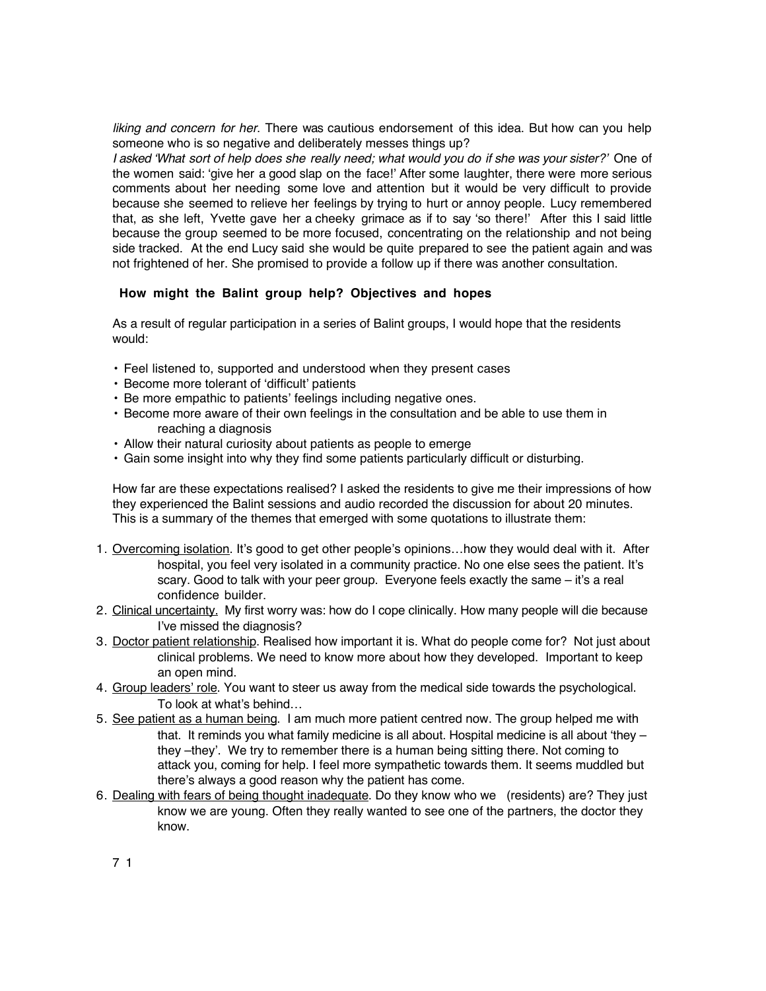liking and concern for her. There was cautious endorsement of this idea. But how can you help someone who is so negative and deliberately messes things up?

I asked 'What sort of help does she really need; what would you do if she was your sister?' One of the women said: 'give her a good slap on the face!' After some laughter, there were more serious comments about her needing some love and attention but it would be very difficult to provide because she seemed to relieve her feelings by trying to hurt or annoy people. Lucy remembered that, as she left, Yvette gave her a cheeky grimace as if to say 'so there!' After this I said little because the group seemed to be more focused, concentrating on the relationship and not being side tracked. At the end Lucy said she would be quite prepared to see the patient again and was not frightened of her. She promised to provide a follow up if there was another consultation.

# **How might the Balint group help? Objectives and hopes**

As a result of regular participation in a series of Balint groups, I would hope that the residents would:

- Feel listened to, supported and understood when they present cases
- Become more tolerant of 'difficult' patients
- Be more empathic to patients' feelings including negative ones.
- Become more aware of their own feelings in the consultation and be able to use them in reaching a diagnosis
- Allow their natural curiosity about patients as people to emerge
- Gain some insight into why they find some patients particularly difficult or disturbing.

How far are these expectations realised? I asked the residents to give me their impressions of how they experienced the Balint sessions and audio recorded the discussion for about 20 minutes. This is a summary of the themes that emerged with some quotations to illustrate them:

- 1. Overcoming isolation. It's good to get other people's opinions…how they would deal with it. After hospital, you feel very isolated in a community practice. No one else sees the patient. It's scary. Good to talk with your peer group. Everyone feels exactly the same – it's a real confidence builder.
- 2. Clinical uncertainty. My first worry was: how do I cope clinically. How many people will die because I've missed the diagnosis?
- 3. Doctor patient relationship. Realised how important it is. What do people come for? Not just about clinical problems. We need to know more about how they developed. Important to keep an open mind.
- 4. Group leaders' role. You want to steer us away from the medical side towards the psychological. To look at what's behind…
- 5. See patient as a human being. I am much more patient centred now. The group helped me with that. It reminds you what family medicine is all about. Hospital medicine is all about 'they – they –they'. We try to remember there is a human being sitting there. Not coming to attack you, coming for help. I feel more sympathetic towards them. It seems muddled but there's always a good reason why the patient has come.
- 6. Dealing with fears of being thought inadequate. Do they know who we (residents) are? They just know we are young. Often they really wanted to see one of the partners, the doctor they know.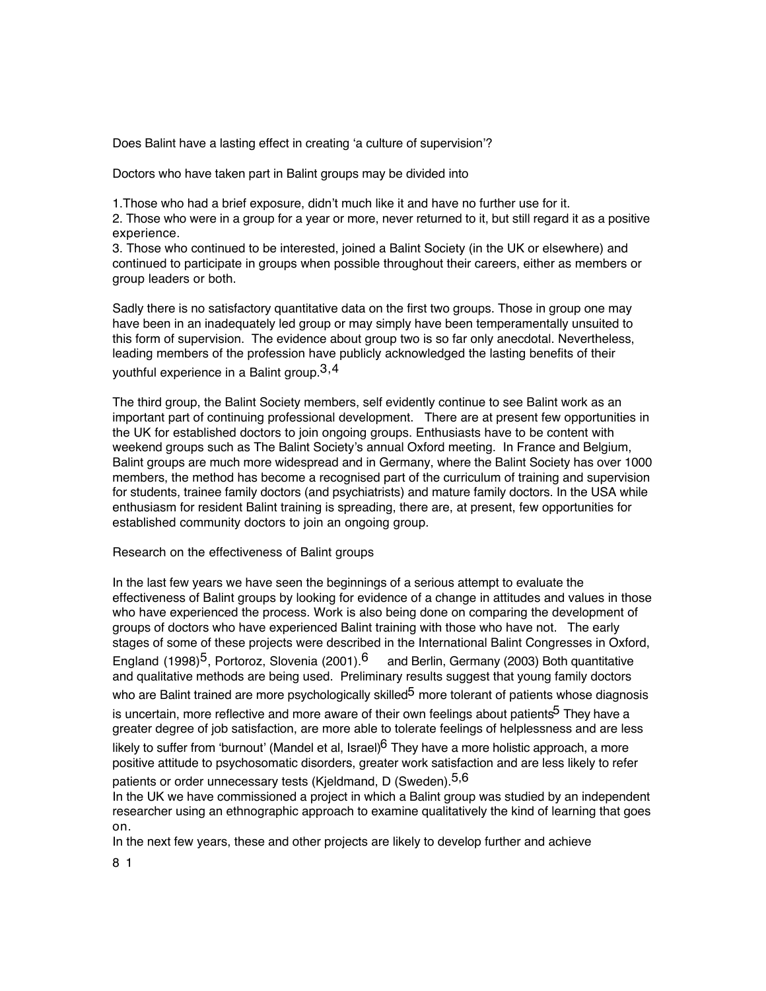Does Balint have a lasting effect in creating 'a culture of supervision'?

Doctors who have taken part in Balint groups may be divided into

1.Those who had a brief exposure, didn't much like it and have no further use for it.

2. Those who were in a group for a year or more, never returned to it, but still regard it as a positive experience.

3. Those who continued to be interested, joined a Balint Society (in the UK or elsewhere) and continued to participate in groups when possible throughout their careers, either as members or group leaders or both.

Sadly there is no satisfactory quantitative data on the first two groups. Those in group one may have been in an inadequately led group or may simply have been temperamentally unsuited to this form of supervision. The evidence about group two is so far only anecdotal. Nevertheless, leading members of the profession have publicly acknowledged the lasting benefits of their youthful experience in a Balint group.  $3,4$ 

The third group, the Balint Society members, self evidently continue to see Balint work as an important part of continuing professional development. There are at present few opportunities in the UK for established doctors to join ongoing groups. Enthusiasts have to be content with weekend groups such as The Balint Society's annual Oxford meeting. In France and Belgium, Balint groups are much more widespread and in Germany, where the Balint Society has over 1000 members, the method has become a recognised part of the curriculum of training and supervision for students, trainee family doctors (and psychiatrists) and mature family doctors. In the USA while enthusiasm for resident Balint training is spreading, there are, at present, few opportunities for established community doctors to join an ongoing group.

Research on the effectiveness of Balint groups

In the last few years we have seen the beginnings of a serious attempt to evaluate the effectiveness of Balint groups by looking for evidence of a change in attitudes and values in those who have experienced the process. Work is also being done on comparing the development of groups of doctors who have experienced Balint training with those who have not. The early stages of some of these projects were described in the International Balint Congresses in Oxford, England (1998)<sup>5</sup>, Portoroz, Slovenia (2001).<sup>6</sup> and Berlin, Germany (2003) Both quantitative and qualitative methods are being used. Preliminary results suggest that young family doctors who are Balint trained are more psychologically skilled<sup>5</sup> more tolerant of patients whose diagnosis is uncertain, more reflective and more aware of their own feelings about patients<sup>5</sup> They have a greater degree of job satisfaction, are more able to tolerate feelings of helplessness and are less likely to suffer from 'burnout' (Mandel et al, Israel)<sup>6</sup> They have a more holistic approach, a more positive attitude to psychosomatic disorders, greater work satisfaction and are less likely to refer patients or order unnecessary tests (Kjeldmand, D (Sweden).<sup>5,6</sup>

In the UK we have commissioned a project in which a Balint group was studied by an independent researcher using an ethnographic approach to examine qualitatively the kind of learning that goes on.

In the next few years, these and other projects are likely to develop further and achieve

8 1